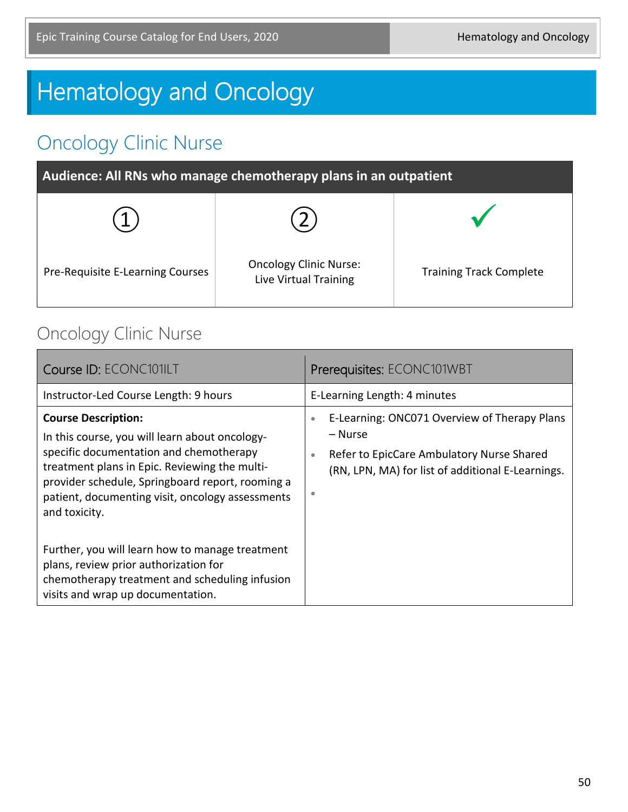# **Hematology and Oncology**

# Oncology Clinic Nurse

| Audience: All RNs who manage chemotherapy plans in an outpatient |                                                        |                                |
|------------------------------------------------------------------|--------------------------------------------------------|--------------------------------|
|                                                                  |                                                        |                                |
| Pre-Requisite E-Learning Courses                                 | <b>Oncology Clinic Nurse:</b><br>Live Virtual Training | <b>Training Track Complete</b> |

### Oncology Clinic Nurse

| Course ID: ECONC101ILT                                                                                                                                                                                                                                                                            | Prerequisites: ECONC101WBT                                                                                                                                                               |
|---------------------------------------------------------------------------------------------------------------------------------------------------------------------------------------------------------------------------------------------------------------------------------------------------|------------------------------------------------------------------------------------------------------------------------------------------------------------------------------------------|
| Instructor-Led Course Length: 9 hours                                                                                                                                                                                                                                                             | E-Learning Length: 4 minutes                                                                                                                                                             |
| <b>Course Description:</b><br>In this course, you will learn about oncology-<br>specific documentation and chemotherapy<br>treatment plans in Epic. Reviewing the multi-<br>provider schedule, Springboard report, rooming a<br>patient, documenting visit, oncology assessments<br>and toxicity. | E-Learning: ONC071 Overview of Therapy Plans<br>$\bullet$<br>– Nurse<br>Refer to EpicCare Ambulatory Nurse Shared<br>$\bullet$<br>(RN, LPN, MA) for list of additional E-Learnings.<br>۰ |
| Further, you will learn how to manage treatment<br>plans, review prior authorization for<br>chemotherapy treatment and scheduling infusion<br>visits and wrap up documentation.                                                                                                                   |                                                                                                                                                                                          |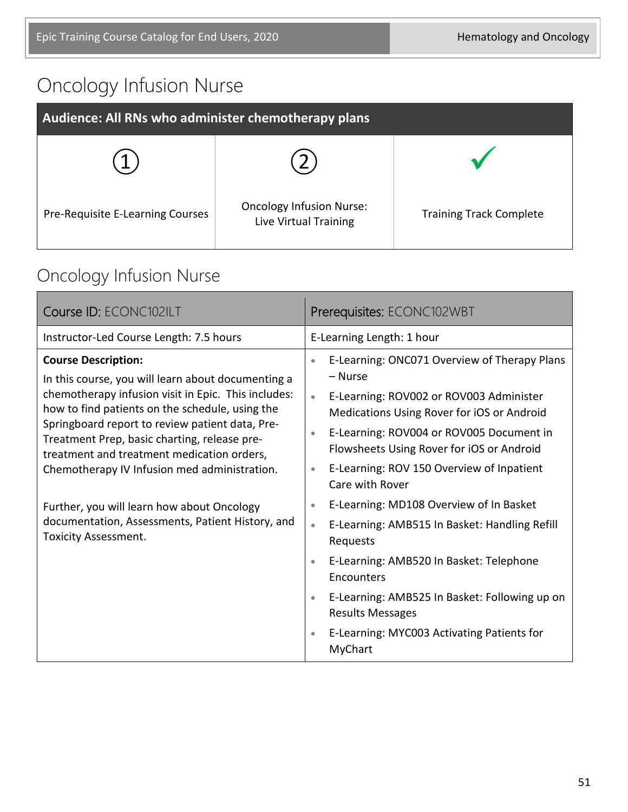# Oncology Infusion Nurse

| Audience: All RNs who administer chemotherapy plans |                                                          |                                |
|-----------------------------------------------------|----------------------------------------------------------|--------------------------------|
|                                                     |                                                          |                                |
| Pre-Requisite E-Learning Courses                    | <b>Oncology Infusion Nurse:</b><br>Live Virtual Training | <b>Training Track Complete</b> |

# Oncology Infusion Nurse

| Course ID: ECONC102ILT                                                                                                                                                                                                                                                                                                                                                                                                                                                                                                       | Prerequisites: ECONC102WBT                                                                                                                                                                                                                                                                                                                                                                                                                                                                                                                                                                                                                                                                                                           |
|------------------------------------------------------------------------------------------------------------------------------------------------------------------------------------------------------------------------------------------------------------------------------------------------------------------------------------------------------------------------------------------------------------------------------------------------------------------------------------------------------------------------------|--------------------------------------------------------------------------------------------------------------------------------------------------------------------------------------------------------------------------------------------------------------------------------------------------------------------------------------------------------------------------------------------------------------------------------------------------------------------------------------------------------------------------------------------------------------------------------------------------------------------------------------------------------------------------------------------------------------------------------------|
| Instructor-Led Course Length: 7.5 hours                                                                                                                                                                                                                                                                                                                                                                                                                                                                                      | E-Learning Length: 1 hour                                                                                                                                                                                                                                                                                                                                                                                                                                                                                                                                                                                                                                                                                                            |
| <b>Course Description:</b><br>In this course, you will learn about documenting a<br>chemotherapy infusion visit in Epic. This includes:<br>how to find patients on the schedule, using the<br>Springboard report to review patient data, Pre-<br>Treatment Prep, basic charting, release pre-<br>treatment and treatment medication orders,<br>Chemotherapy IV Infusion med administration.<br>Further, you will learn how about Oncology<br>documentation, Assessments, Patient History, and<br><b>Toxicity Assessment.</b> | E-Learning: ONC071 Overview of Therapy Plans<br>$\bullet$<br>– Nurse<br>E-Learning: ROV002 or ROV003 Administer<br>$\bullet$<br>Medications Using Rover for iOS or Android<br>E-Learning: ROV004 or ROV005 Document in<br>$\bullet$<br>Flowsheets Using Rover for iOS or Android<br>E-Learning: ROV 150 Overview of Inpatient<br>$\bullet$<br>Care with Rover<br>E-Learning: MD108 Overview of In Basket<br>$\bullet$<br>E-Learning: AMB515 In Basket: Handling Refill<br>$\bullet$<br>Requests<br>E-Learning: AMB520 In Basket: Telephone<br>$\bullet$<br>Encounters<br>E-Learning: AMB525 In Basket: Following up on<br>$\bullet$<br><b>Results Messages</b><br>E-Learning: MYC003 Activating Patients for<br>$\bullet$<br>MyChart |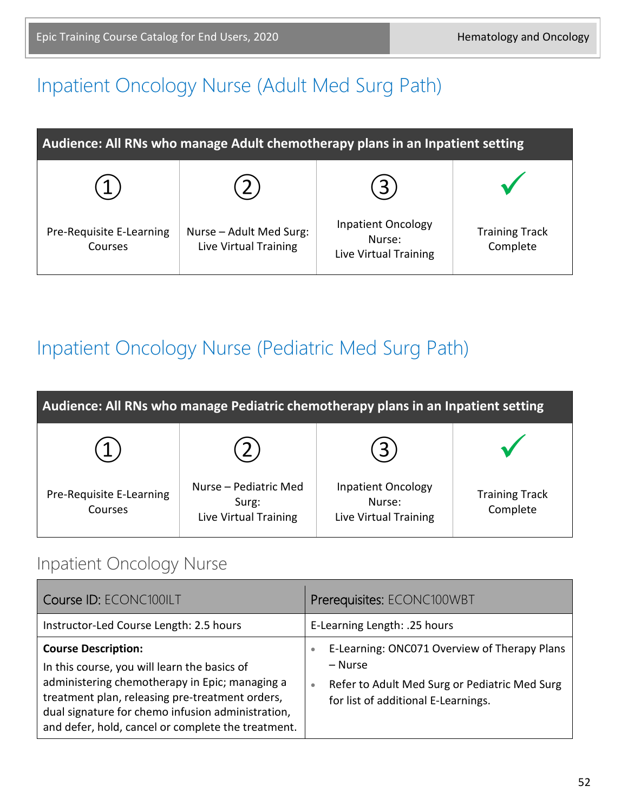# Inpatient Oncology Nurse (Adult Med Surg Path)

| Audience: All RNs who manage Adult chemotherapy plans in an Inpatient setting |                                                  |                                                              |                                   |
|-------------------------------------------------------------------------------|--------------------------------------------------|--------------------------------------------------------------|-----------------------------------|
|                                                                               |                                                  |                                                              |                                   |
| Pre-Requisite E-Learning<br>Courses                                           | Nurse - Adult Med Surg:<br>Live Virtual Training | <b>Inpatient Oncology</b><br>Nurse:<br>Live Virtual Training | <b>Training Track</b><br>Complete |

# Inpatient Oncology Nurse (Pediatric Med Surg Path)

| Audience: All RNs who manage Pediatric chemotherapy plans in an Inpatient setting |                                                         |                                                              |                                   |
|-----------------------------------------------------------------------------------|---------------------------------------------------------|--------------------------------------------------------------|-----------------------------------|
|                                                                                   |                                                         | $3^{\circ}$                                                  |                                   |
| Pre-Requisite E-Learning<br>Courses                                               | Nurse – Pediatric Med<br>Surg:<br>Live Virtual Training | <b>Inpatient Oncology</b><br>Nurse:<br>Live Virtual Training | <b>Training Track</b><br>Complete |

#### Inpatient Oncology Nurse

| Course ID: ECONC100ILT                                                                                                                                                                                                                                                                     | Prerequisites: ECONC100WBT                                                                                                                                                |
|--------------------------------------------------------------------------------------------------------------------------------------------------------------------------------------------------------------------------------------------------------------------------------------------|---------------------------------------------------------------------------------------------------------------------------------------------------------------------------|
| Instructor-Led Course Length: 2.5 hours                                                                                                                                                                                                                                                    | E-Learning Length: .25 hours                                                                                                                                              |
| <b>Course Description:</b><br>In this course, you will learn the basics of<br>administering chemotherapy in Epic; managing a<br>treatment plan, releasing pre-treatment orders,<br>dual signature for chemo infusion administration,<br>and defer, hold, cancel or complete the treatment. | E-Learning: ONC071 Overview of Therapy Plans<br>$\bullet$<br>– Nurse<br>Refer to Adult Med Surg or Pediatric Med Surg<br>$\bullet$<br>for list of additional E-Learnings. |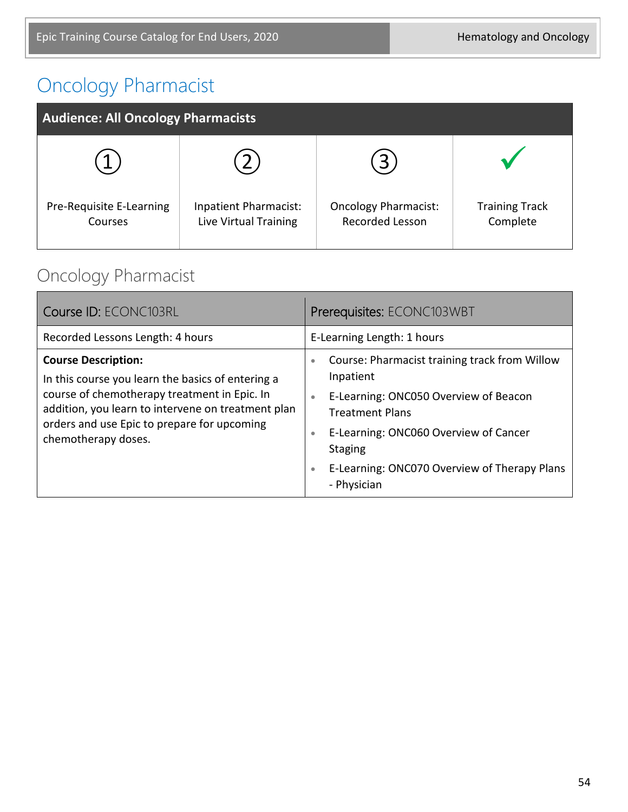# Oncology Pharmacist

| <b>Audience: All Oncology Pharmacists</b> |                                                |                                                |                                   |
|-------------------------------------------|------------------------------------------------|------------------------------------------------|-----------------------------------|
|                                           |                                                | 3                                              |                                   |
| Pre-Requisite E-Learning<br>Courses       | Inpatient Pharmacist:<br>Live Virtual Training | <b>Oncology Pharmacist:</b><br>Recorded Lesson | <b>Training Track</b><br>Complete |

# Oncology Pharmacist

| Course ID: ECONC103RL                                                                                                                                                                                                                                       | Prerequisites: ECONC103WBT                                                                                                                                                                                                                                                                                  |
|-------------------------------------------------------------------------------------------------------------------------------------------------------------------------------------------------------------------------------------------------------------|-------------------------------------------------------------------------------------------------------------------------------------------------------------------------------------------------------------------------------------------------------------------------------------------------------------|
| Recorded Lessons Length: 4 hours                                                                                                                                                                                                                            | E-Learning Length: 1 hours                                                                                                                                                                                                                                                                                  |
| <b>Course Description:</b><br>In this course you learn the basics of entering a<br>course of chemotherapy treatment in Epic. In<br>addition, you learn to intervene on treatment plan<br>orders and use Epic to prepare for upcoming<br>chemotherapy doses. | Course: Pharmacist training track from Willow<br>$\bullet$<br>Inpatient<br>E-Learning: ONC050 Overview of Beacon<br>$\bullet$<br><b>Treatment Plans</b><br>E-Learning: ONC060 Overview of Cancer<br>$\bullet$<br><b>Staging</b><br>E-Learning: ONC070 Overview of Therapy Plans<br>$\bullet$<br>- Physician |